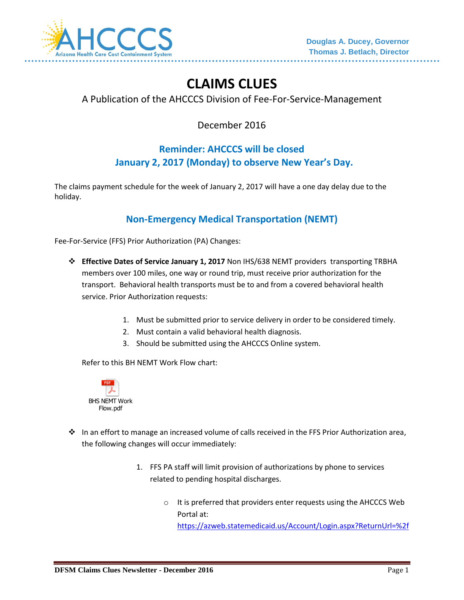

# **CLAIMS CLUES**

### A Publication of the AHCCCS Division of Fee-For-Service-Management

December 2016

## **Reminder: AHCCCS will be closed January 2, 2017 (Monday) to observe New Year's Day.**

The claims payment schedule for the week of January 2, 2017 will have a one day delay due to the holiday.

### **Non-Emergency Medical Transportation (NEMT)**

Fee-For-Service (FFS) Prior Authorization (PA) Changes:

- **Effective Dates of Service January 1, 2017** Non IHS/638 NEMT providers transporting TRBHA members over 100 miles, one way or round trip, must receive prior authorization for the transport. Behavioral health transports must be to and from a covered behavioral health service. Prior Authorization requests:
	- 1. Must be submitted prior to service delivery in order to be considered timely.
	- 2. Must contain a valid behavioral health diagnosis.
	- 3. Should be submitted using the AHCCCS Online system.

Refer to this BH NEMT Work Flow chart:



- $\cdot \cdot$  In an effort to manage an increased volume of calls received in the FFS Prior Authorization area, the following changes will occur immediately:
	- 1. FFS PA staff will limit provision of authorizations by phone to services related to pending hospital discharges.
		- o It is preferred that providers enter requests using the AHCCCS Web Portal at: <https://azweb.statemedicaid.us/Account/Login.aspx?ReturnUrl=%2f>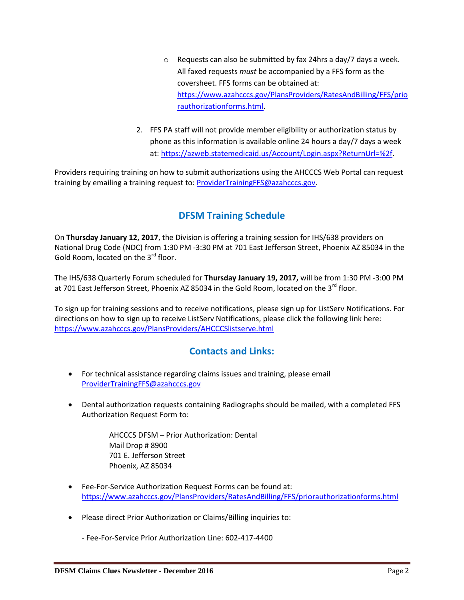- o Requests can also be submitted by fax 24hrs a day/7 days a week. All faxed requests *must* be accompanied by a FFS form as the coversheet. FFS forms can be obtained at: [https://www.azahcccs.gov/PlansProviders/RatesAndBilling/FFS/prio](https://www.azahcccs.gov/PlansProviders/RatesAndBilling/FFS/priorauthorizationforms.html) [rauthorizationforms.html.](https://www.azahcccs.gov/PlansProviders/RatesAndBilling/FFS/priorauthorizationforms.html)
- 2. FFS PA staff will not provide member eligibility or authorization status by phone as this information is available online 24 hours a day/7 days a week at: [https://azweb.statemedicaid.us/Account/Login.aspx?ReturnUrl=%2f.](https://azweb.statemedicaid.us/Account/Login.aspx?ReturnUrl=%2f)

Providers requiring training on how to submit authorizations using the AHCCCS Web Portal can request training by emailing a training request to: [ProviderTrainingFFS@azahcccs.gov.](mailto:ProviderTrainingFFS@azahcccs.gov)

### **DFSM Training Schedule**

On **Thursday January 12, 2017**, the Division is offering a training session for IHS/638 providers on National Drug Code (NDC) from 1:30 PM -3:30 PM at 701 East Jefferson Street, Phoenix AZ 85034 in the Gold Room, located on the 3<sup>rd</sup> floor.

The IHS/638 Quarterly Forum scheduled for **Thursday January 19, 2017,** will be from 1:30 PM -3:00 PM at 701 East Jefferson Street, Phoenix AZ 85034 in the Gold Room, located on the 3<sup>rd</sup> floor.

To sign up for training sessions and to receive notifications, please sign up for ListServ Notifications. For directions on how to sign up to receive ListServ Notifications, please click the following link here: <https://www.azahcccs.gov/PlansProviders/AHCCCSlistserve.html>

#### **Contacts and Links:**

- For technical assistance regarding claims issues and training, please email [ProviderTrainingFFS@azahcccs.gov](mailto:ProviderTrainingFFS@azahcccs.gov)
- Dental authorization requests containing Radiographs should be mailed, with a completed FFS Authorization Request Form to:

AHCCCS DFSM – Prior Authorization: Dental Mail Drop # 8900 701 E. Jefferson Street Phoenix, AZ 85034

- Fee-For-Service Authorization Request Forms can be found at: <https://www.azahcccs.gov/PlansProviders/RatesAndBilling/FFS/priorauthorizationforms.html>
- Please direct Prior Authorization or Claims/Billing inquiries to:

- Fee-For-Service Prior Authorization Line: 602-417-4400